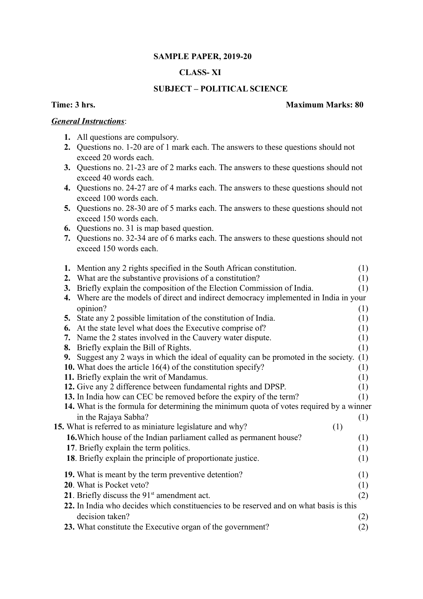# **SAMPLE PAPER, 2019-20**

# **CLASS- XI**

# **SUBJECT – POLITICAL SCIENCE**

## *General Instructions*:

- **1.** All questions are compulsory.
- **2.** Questions no. 1-20 are of 1 mark each. The answers to these questions should not exceed 20 words each.
- **3.** Questions no. 21-23 are of 2 marks each. The answers to these questions should not exceed 40 words each.
- **4.** Questions no. 24-27 are of 4 marks each. The answers to these questions should not exceed 100 words each.
- **5.** Questions no. 28-30 are of 5 marks each. The answers to these questions should not exceed 150 words each.
- **6.** Questions no. 31 is map based question.
- **7.** Questions no. 32-34 are of 6 marks each. The answers to these questions should not exceed 150 words each.

|                                                                                        |    | 1. Mention any 2 rights specified in the South African constitution.                    | (1) |
|----------------------------------------------------------------------------------------|----|-----------------------------------------------------------------------------------------|-----|
|                                                                                        | 2. | What are the substantive provisions of a constitution?                                  | (1) |
|                                                                                        | 3. | Briefly explain the composition of the Election Commission of India.                    | (1) |
|                                                                                        |    | 4. Where are the models of direct and indirect democracy implemented in India in your   |     |
|                                                                                        |    | opinion?                                                                                | (1) |
|                                                                                        |    | 5. State any 2 possible limitation of the constitution of India.                        | (1) |
|                                                                                        | 6. | At the state level what does the Executive comprise of?                                 | (1) |
|                                                                                        |    | 7. Name the 2 states involved in the Cauvery water dispute.                             | (1) |
|                                                                                        |    | 8. Briefly explain the Bill of Rights.                                                  | (1) |
|                                                                                        |    | 9. Suggest any 2 ways in which the ideal of equality can be promoted in the society.    | (1) |
|                                                                                        |    | 10. What does the article $16(4)$ of the constitution specify?                          | (1) |
|                                                                                        |    | 11. Briefly explain the writ of Mandamus.                                               | (1) |
|                                                                                        |    | 12. Give any 2 difference between fundamental rights and DPSP.                          | (1) |
|                                                                                        |    | 13. In India how can CEC be removed before the expiry of the term?                      | (1) |
|                                                                                        |    | 14. What is the formula for determining the minimum quota of votes required by a winner |     |
|                                                                                        |    | in the Rajaya Sabha?                                                                    | (1) |
|                                                                                        |    | 15. What is referred to as miniature legislature and why?<br>(1)                        |     |
|                                                                                        |    | 16. Which house of the Indian parliament called as permanent house?                     | (1) |
|                                                                                        |    | 17. Briefly explain the term politics.                                                  | (1) |
|                                                                                        |    | 18. Briefly explain the principle of proportionate justice.                             | (1) |
|                                                                                        |    |                                                                                         |     |
|                                                                                        |    | 19. What is meant by the term preventive detention?                                     | (1) |
|                                                                                        |    | 20. What is Pocket veto?                                                                | (1) |
|                                                                                        |    | 21. Briefly discuss the $91st$ amendment act.                                           | (2) |
| 22. In India who decides which constituencies to be reserved and on what basis is this |    |                                                                                         |     |
|                                                                                        |    | decision taken?                                                                         | (2) |
|                                                                                        |    | 23. What constitute the Executive organ of the government?                              | (2) |
|                                                                                        |    |                                                                                         |     |

### **Time: 3 hrs. Maximum Marks: 80**